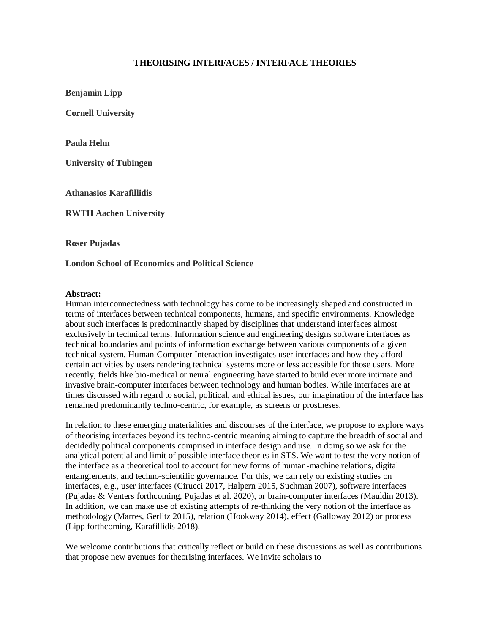## **THEORISING INTERFACES / INTERFACE THEORIES**

**Benjamin Lipp**

**Cornell University**

**Paula Helm**

**University of Tubingen**

**Athanasios Karafillidis**

**RWTH Aachen University**

**Roser Pujadas**

**London School of Economics and Political Science**

## **Abstract:**

Human interconnectedness with technology has come to be increasingly shaped and constructed in terms of interfaces between technical components, humans, and specific environments. Knowledge about such interfaces is predominantly shaped by disciplines that understand interfaces almost exclusively in technical terms. Information science and engineering designs software interfaces as technical boundaries and points of information exchange between various components of a given technical system. Human-Computer Interaction investigates user interfaces and how they afford certain activities by users rendering technical systems more or less accessible for those users. More recently, fields like bio-medical or neural engineering have started to build ever more intimate and invasive brain-computer interfaces between technology and human bodies. While interfaces are at times discussed with regard to social, political, and ethical issues, our imagination of the interface has remained predominantly techno-centric, for example, as screens or prostheses.

In relation to these emerging materialities and discourses of the interface, we propose to explore ways of theorising interfaces beyond its techno-centric meaning aiming to capture the breadth of social and decidedly political components comprised in interface design and use. In doing so we ask for the analytical potential and limit of possible interface theories in STS. We want to test the very notion of the interface as a theoretical tool to account for new forms of human-machine relations, digital entanglements, and techno-scientific governance. For this, we can rely on existing studies on interfaces, e.g., user interfaces (Cirucci 2017, Halpern 2015, Suchman 2007), software interfaces (Pujadas & Venters forthcoming, Pujadas et al. 2020), or brain-computer interfaces (Mauldin 2013). In addition, we can make use of existing attempts of re-thinking the very notion of the interface as methodology (Marres, Gerlitz 2015), relation (Hookway 2014), effect (Galloway 2012) or process (Lipp forthcoming, Karafillidis 2018).

We welcome contributions that critically reflect or build on these discussions as well as contributions that propose new avenues for theorising interfaces. We invite scholars to